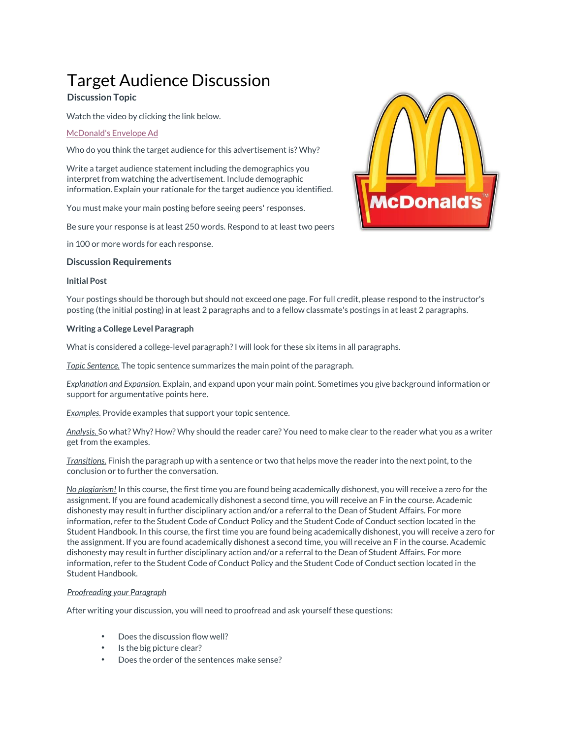# Target Audience Discussion

# **Discussion Topic**

Watch the video by clicking the link below.

# [McDonald's Envelope Ad](https://www.youtube.com/watch?v=q-qA1jCVCmQ)

Who do you think the target audience for this advertisement is? Why?

Write a target audience statement including the demographics you interpret from watching the advertisement. Include demographic information. Explain your rationale for the target audience you identified.

You must make your main posting before seeing peers' responses.

Be sure your response is at least 250 words. Respond to at least two peers

in 100 or more words for each response.

## **Discussion Requirements**

#### **Initial Post**

Your postings should be thorough but should not exceed one page. For full credit, please respond to the instructor's posting (the initial posting) in at least 2 paragraphs and to a fellow classmate's postings in at least 2 paragraphs.

#### **Writing a College Level Paragraph**

What is considered a college-level paragraph? I will look for these six items in all paragraphs.

*Topic Sentence.* The topic sentence summarizes the main point of the paragraph.

*Explanation and Expansion.* Explain, and expand upon your main point. Sometimes you give background information or support for argumentative points here.

*Examples.* Provide examples that support your topic sentence.

*Analysis.* So what? Why? How? Why should the reader care? You need to make clear to the reader what you as a writer get from the examples.

*Transitions.* Finish the paragraph up with a sentence or two that helps move the reader into the next point, to the conclusion or to further the conversation.

*No plagiarism!* In this course, the first time you are found being academically dishonest, you will receive a zero for the assignment. If you are found academically dishonest a second time, you will receive an F in the course. Academic dishonesty may result in further disciplinary action and/or a referral to the Dean of Student Affairs. For more information, refer to the Student Code of Conduct Policy and the Student Code of Conduct section located in the Student Handbook. In this course, the first time you are found being academically dishonest, you will receive a zero for the assignment. If you are found academically dishonest a second time, you will receive an F in the course. Academic dishonesty may result in further disciplinary action and/or a referral to the Dean of Student Affairs. For more information, refer to the Student Code of Conduct Policy and the Student Code of Conduct section located in the Student Handbook.

## *Proofreading your Paragraph*

After writing your discussion, you will need to proofread and ask yourself these questions:

- Does the discussion flow well?
- Is the big picture clear?
- Does the order of the sentences make sense?